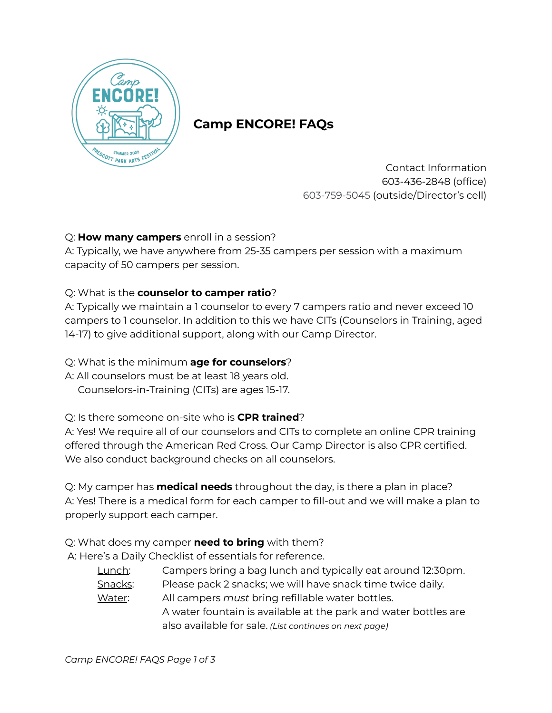

# **Camp ENCORE! FAQs**

Contact Information 603-436-2848 (office) 603-759-5045 (outside/Director's cell)

# Q: **How many campers** enroll in a session?

A: Typically, we have anywhere from 25-35 campers per session with a maximum capacity of 50 campers per session.

# Q: What is the **counselor to camper ratio**?

A: Typically we maintain a 1 counselor to every 7 campers ratio and never exceed 10 campers to 1 counselor. In addition to this we have CITs (Counselors in Training, aged 14-17) to give additional support, along with our Camp Director.

# Q: What is the minimum **age for counselors**?

A: All counselors must be at least 18 years old. Counselors-in-Training (CITs) are ages 15-17.

# Q: Is there someone on-site who is **CPR trained**?

A: Yes! We require all of our counselors and CITs to complete an online CPR training offered through the American Red Cross. Our Camp Director is also CPR certified. We also conduct background checks on all counselors.

Q: My camper has **medical needs** throughout the day, is there a plan in place? A: Yes! There is a medical form for each camper to fill-out and we will make a plan to properly support each camper.

Q: What does my camper **need to bring** with them?

A: Here's a Daily Checklist of essentials for reference.

Lunch: Campers bring a bag lunch and typically eat around 12:30pm. Snacks: Please pack 2 snacks; we will have snack time twice daily. Water: All campers *must* bring refillable water bottles. A water fountain is available at the park and water bottles are also available for sale. *(List continues on next page)*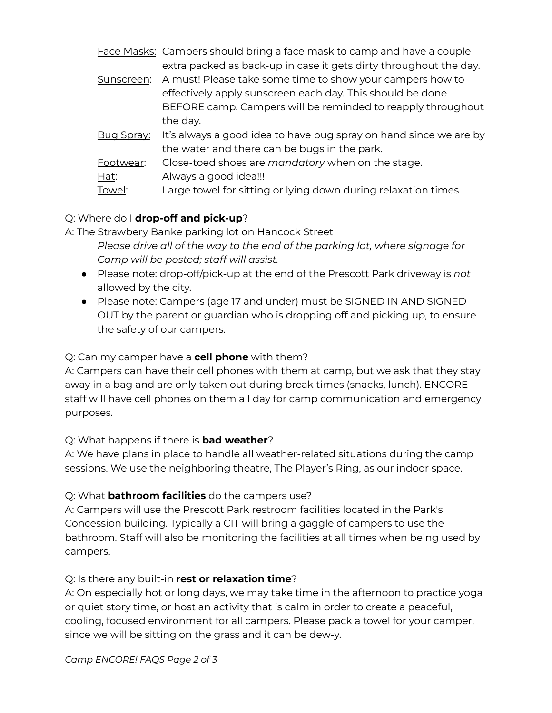|            | Face Masks: Campers should bring a face mask to camp and have a couple |
|------------|------------------------------------------------------------------------|
|            | extra packed as back-up in case it gets dirty throughout the day.      |
| Sunscreen: | A must! Please take some time to show your campers how to              |
|            | effectively apply sunscreen each day. This should be done              |
|            | BEFORE camp. Campers will be reminded to reapply throughout            |
|            | the day.                                                               |
| Bug Spray: | It's always a good idea to have bug spray on hand since we are by      |
|            | the water and there can be bugs in the park.                           |
| Footwear:  | Close-toed shoes are mandatory when on the stage.                      |
| Hat:       | Always a good idea!!!                                                  |
| Towel:     | Large towel for sitting or lying down during relaxation times.         |
|            |                                                                        |

# Q: Where do I **drop-off and pick-up**?

A: The Strawbery Banke parking lot on Hancock Street *Please drive all of the way to the end of the parking lot, where signage for Camp will be posted; staff will assist.*

- Please note: drop-off/pick-up at the end of the Prescott Park driveway is *not* allowed by the city.
- Please note: Campers (age 17 and under) must be SIGNED IN AND SIGNED OUT by the parent or guardian who is dropping off and picking up, to ensure the safety of our campers.

### Q: Can my camper have a **cell phone** with them?

A: Campers can have their cell phones with them at camp, but we ask that they stay away in a bag and are only taken out during break times (snacks, lunch). ENCORE staff will have cell phones on them all day for camp communication and emergency purposes.

#### Q: What happens if there is **bad weather**?

A: We have plans in place to handle all weather-related situations during the camp sessions. We use the neighboring theatre, The Player's Ring, as our indoor space.

#### Q: What **bathroom facilities** do the campers use?

A: Campers will use the Prescott Park restroom facilities located in the Park's Concession building. Typically a CIT will bring a gaggle of campers to use the bathroom. Staff will also be monitoring the facilities at all times when being used by campers.

#### Q: Is there any built-in **rest or relaxation time**?

A: On especially hot or long days, we may take time in the afternoon to practice yoga or quiet story time, or host an activity that is calm in order to create a peaceful, cooling, focused environment for all campers. Please pack a towel for your camper, since we will be sitting on the grass and it can be dew-y.